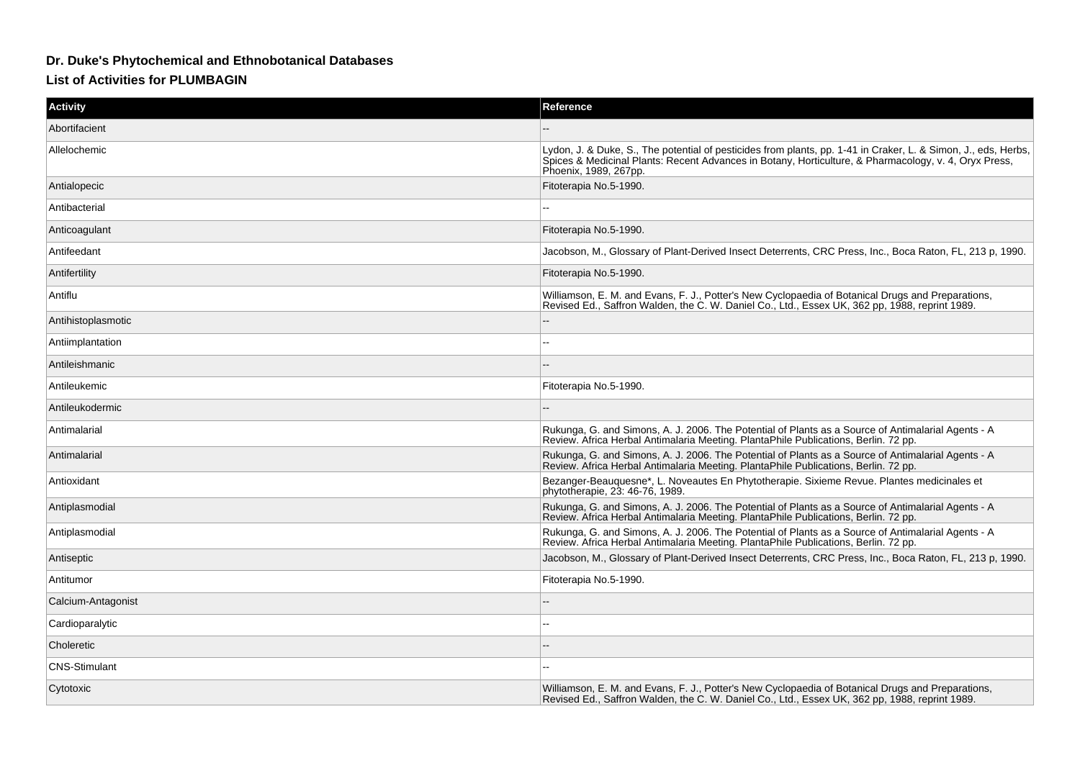## **Dr. Duke's Phytochemical and Ethnobotanical Databases**

## **List of Activities for PLUMBAGIN**

| <b>Activity</b>      | Reference                                                                                                                                                                                                                                        |
|----------------------|--------------------------------------------------------------------------------------------------------------------------------------------------------------------------------------------------------------------------------------------------|
| Abortifacient        |                                                                                                                                                                                                                                                  |
| Allelochemic         | Lydon, J. & Duke, S., The potential of pesticides from plants, pp. 1-41 in Craker, L. & Simon, J., eds, Herbs,<br>Spices & Medicinal Plants: Recent Advances in Botany, Horticulture, & Pharmacology, v. 4, Oryx Press,<br>Phoenix, 1989, 267pp. |
| Antialopecic         | Fitoterapia No.5-1990.                                                                                                                                                                                                                           |
| Antibacterial        |                                                                                                                                                                                                                                                  |
| Anticoagulant        | Fitoterapia No.5-1990.                                                                                                                                                                                                                           |
| Antifeedant          | Jacobson, M., Glossary of Plant-Derived Insect Deterrents, CRC Press, Inc., Boca Raton, FL, 213 p, 1990.                                                                                                                                         |
| Antifertility        | Fitoterapia No.5-1990.                                                                                                                                                                                                                           |
| Antiflu              | Williamson, E. M. and Evans, F. J., Potter's New Cyclopaedia of Botanical Drugs and Preparations,<br>Revised Ed., Saffron Walden, the C. W. Daniel Co., Ltd., Essex UK, 362 pp, 1988, reprint 1989.                                              |
| Antihistoplasmotic   |                                                                                                                                                                                                                                                  |
| Antiimplantation     |                                                                                                                                                                                                                                                  |
| Antileishmanic       |                                                                                                                                                                                                                                                  |
| Antileukemic         | Fitoterapia No.5-1990.                                                                                                                                                                                                                           |
| Antileukodermic      |                                                                                                                                                                                                                                                  |
| Antimalarial         | Rukunga, G. and Simons, A. J. 2006. The Potential of Plants as a Source of Antimalarial Agents - A<br>Review. Africa Herbal Antimalaria Meeting. PlantaPhile Publications, Berlin. 72 pp.                                                        |
| Antimalarial         | Rukunga, G. and Simons, A. J. 2006. The Potential of Plants as a Source of Antimalarial Agents - A<br>Review. Africa Herbal Antimalaria Meeting. PlantaPhile Publications, Berlin. 72 pp.                                                        |
| Antioxidant          | Bezanger-Beauquesne*, L. Noveautes En Phytotherapie. Sixieme Revue. Plantes medicinales et<br>phytotherapie, 23: 46-76, 1989.                                                                                                                    |
| Antiplasmodial       | Rukunga, G. and Simons, A. J. 2006. The Potential of Plants as a Source of Antimalarial Agents - A<br>Review. Africa Herbal Antimalaria Meeting. PlantaPhile Publications, Berlin. 72 pp.                                                        |
| Antiplasmodial       | Rukunga, G. and Simons, A. J. 2006. The Potential of Plants as a Source of Antimalarial Agents - A<br>Review. Africa Herbal Antimalaria Meeting. PlantaPhile Publications, Berlin. 72 pp.                                                        |
| Antiseptic           | Jacobson, M., Glossary of Plant-Derived Insect Deterrents, CRC Press, Inc., Boca Raton, FL, 213 p, 1990.                                                                                                                                         |
| Antitumor            | Fitoterapia No.5-1990.                                                                                                                                                                                                                           |
| Calcium-Antagonist   |                                                                                                                                                                                                                                                  |
| Cardioparalytic      |                                                                                                                                                                                                                                                  |
| Choleretic           |                                                                                                                                                                                                                                                  |
| <b>CNS-Stimulant</b> |                                                                                                                                                                                                                                                  |
| Cytotoxic            | Williamson, E. M. and Evans, F. J., Potter's New Cyclopaedia of Botanical Drugs and Preparations,<br>Revised Ed., Saffron Walden, the C. W. Daniel Co., Ltd., Essex UK, 362 pp, 1988, reprint 1989.                                              |